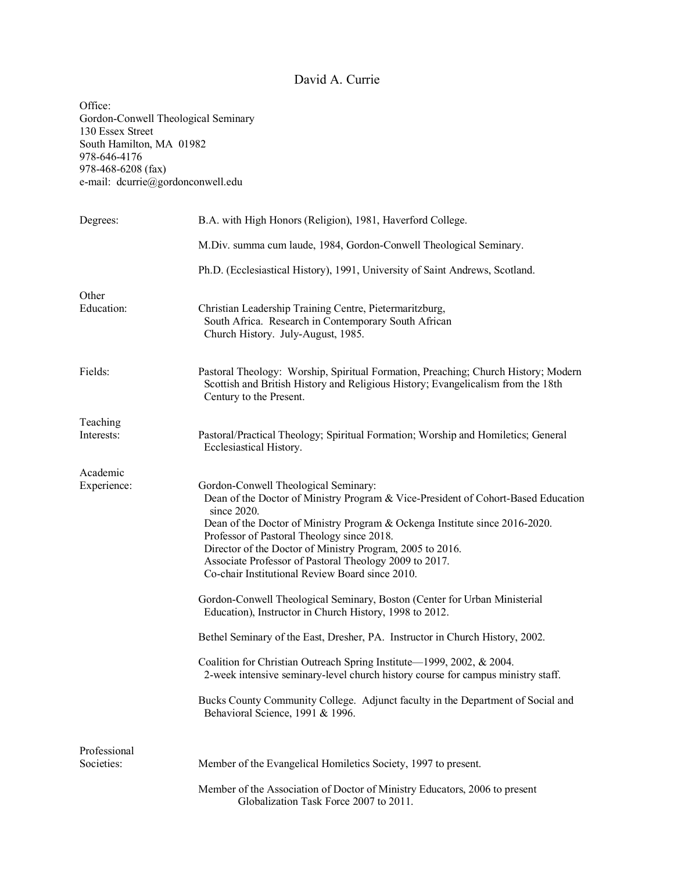### David A. Currie

Office: Gordon-Conwell Theological Seminary 130 Essex Street South Hamilton, MA 01982 978-646-4176 978-468-6208 (fax) e-mail: dcurrie@gordonconwell.edu Degrees: B.A. with High Honors (Religion), 1981, Haverford College. M.Div. summa cum laude, 1984, Gordon-Conwell Theological Seminary. Ph.D. (Ecclesiastical History), 1991, University of Saint Andrews, Scotland. **Other** Education: Christian Leadership Training Centre, Pietermaritzburg, South Africa. Research in Contemporary South African Church History. July-August, 1985. Fields: Pastoral Theology: Worship, Spiritual Formation, Preaching; Church History; Modern Scottish and British History and Religious History; Evangelicalism from the 18th Century to the Present. Teaching Interests: Pastoral/Practical Theology; Spiritual Formation; Worship and Homiletics; General Ecclesiastical History. Academic Experience: Gordon-Conwell Theological Seminary: Dean of the Doctor of Ministry Program & Vice-President of Cohort-Based Education since 2020. Dean of the Doctor of Ministry Program & Ockenga Institute since 2016-2020. Professor of Pastoral Theology since 2018. Director of the Doctor of Ministry Program, 2005 to 2016. Associate Professor of Pastoral Theology 2009 to 2017. Co-chair Institutional Review Board since 2010. Gordon-Conwell Theological Seminary, Boston (Center for Urban Ministerial Education), Instructor in Church History, 1998 to 2012. Bethel Seminary of the East, Dresher, PA. Instructor in Church History, 2002. Coalition for Christian Outreach Spring Institute—1999, 2002, & 2004. 2-week intensive seminary-level church history course for campus ministry staff. Bucks County Community College. Adjunct faculty in the Department of Social and Behavioral Science, 1991 & 1996. Professional Societies: Member of the Evangelical Homiletics Society, 1997 to present. Member of the Association of Doctor of Ministry Educators, 2006 to present Globalization Task Force 2007 to 2011.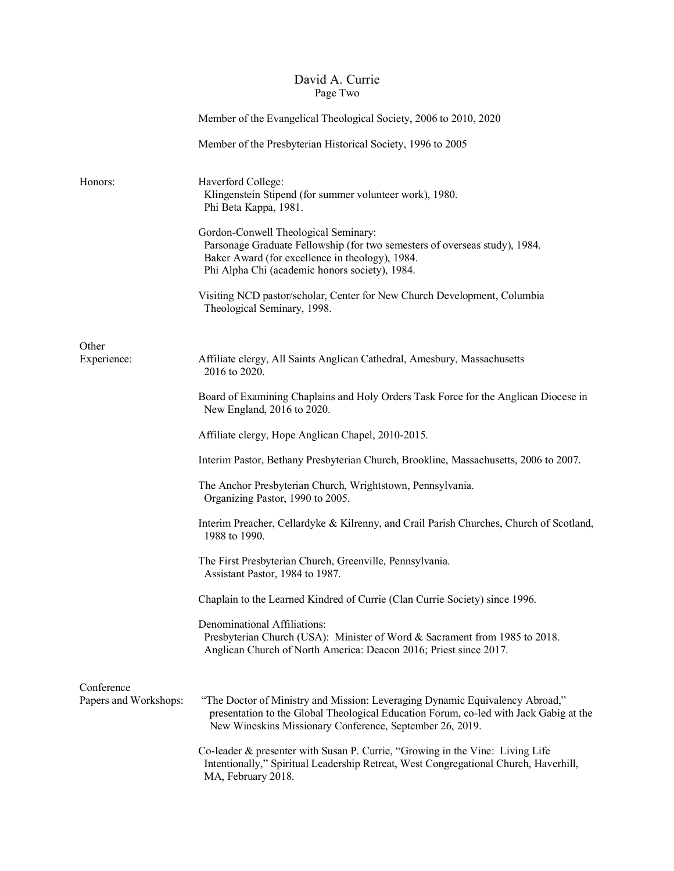## David A. Currie Page Two

|                                     | Member of the Evangelical Theological Society, 2006 to 2010, 2020                                                                                                                                                                 |
|-------------------------------------|-----------------------------------------------------------------------------------------------------------------------------------------------------------------------------------------------------------------------------------|
|                                     | Member of the Presbyterian Historical Society, 1996 to 2005                                                                                                                                                                       |
| Honors:                             | Haverford College:<br>Klingenstein Stipend (for summer volunteer work), 1980.<br>Phi Beta Kappa, 1981.                                                                                                                            |
|                                     | Gordon-Conwell Theological Seminary:<br>Parsonage Graduate Fellowship (for two semesters of overseas study), 1984.<br>Baker Award (for excellence in theology), 1984.<br>Phi Alpha Chi (academic honors society), 1984.           |
|                                     | Visiting NCD pastor/scholar, Center for New Church Development, Columbia<br>Theological Seminary, 1998.                                                                                                                           |
| Other                               |                                                                                                                                                                                                                                   |
| Experience:                         | Affiliate clergy, All Saints Anglican Cathedral, Amesbury, Massachusetts<br>2016 to 2020.                                                                                                                                         |
|                                     | Board of Examining Chaplains and Holy Orders Task Force for the Anglican Diocese in<br>New England, 2016 to 2020.                                                                                                                 |
|                                     | Affiliate clergy, Hope Anglican Chapel, 2010-2015.                                                                                                                                                                                |
|                                     | Interim Pastor, Bethany Presbyterian Church, Brookline, Massachusetts, 2006 to 2007.                                                                                                                                              |
|                                     | The Anchor Presbyterian Church, Wrightstown, Pennsylvania.<br>Organizing Pastor, 1990 to 2005.                                                                                                                                    |
|                                     | Interim Preacher, Cellardyke & Kilrenny, and Crail Parish Churches, Church of Scotland,<br>1988 to 1990.                                                                                                                          |
|                                     | The First Presbyterian Church, Greenville, Pennsylvania.<br>Assistant Pastor, 1984 to 1987.                                                                                                                                       |
|                                     | Chaplain to the Learned Kindred of Currie (Clan Currie Society) since 1996.                                                                                                                                                       |
|                                     | Denominational Affiliations:<br>Presbyterian Church (USA): Minister of Word & Sacrament from 1985 to 2018.<br>Anglican Church of North America: Deacon 2016; Priest since 2017.                                                   |
| Conference<br>Papers and Workshops: | "The Doctor of Ministry and Mission: Leveraging Dynamic Equivalency Abroad,"<br>presentation to the Global Theological Education Forum, co-led with Jack Gabig at the<br>New Wineskins Missionary Conference, September 26, 2019. |
|                                     | Co-leader & presenter with Susan P. Currie, "Growing in the Vine: Living Life<br>Intentionally," Spiritual Leadership Retreat, West Congregational Church, Haverhill,<br>MA, February 2018.                                       |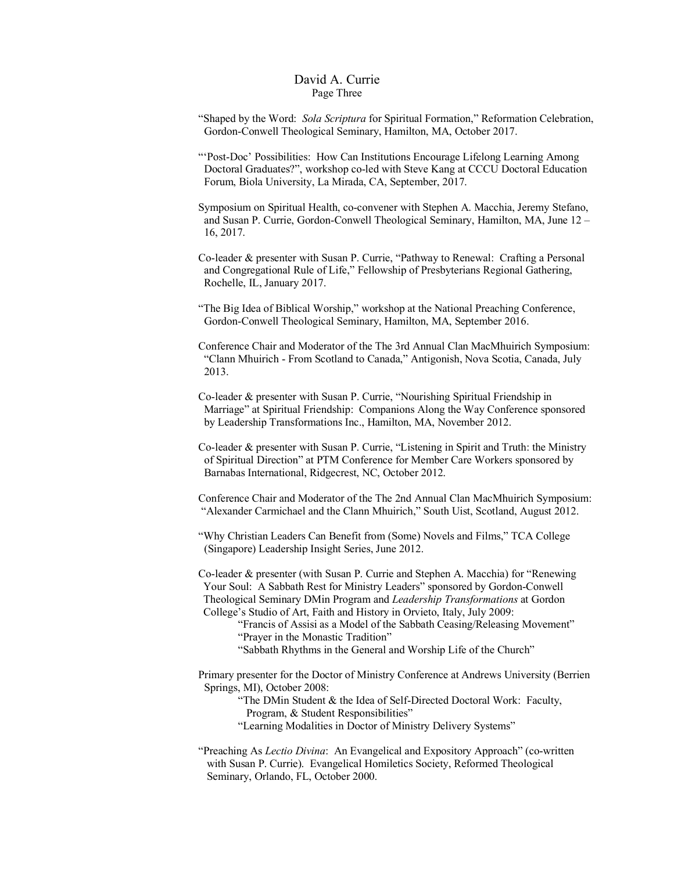#### David A. Currie Page Three

- "Shaped by the Word: *Sola Scriptura* for Spiritual Formation," Reformation Celebration, Gordon-Conwell Theological Seminary, Hamilton, MA, October 2017.
- "'Post-Doc' Possibilities: How Can Institutions Encourage Lifelong Learning Among Doctoral Graduates?", workshop co-led with Steve Kang at CCCU Doctoral Education Forum, Biola University, La Mirada, CA, September, 2017.
- Symposium on Spiritual Health, co-convener with Stephen A. Macchia, Jeremy Stefano, and Susan P. Currie, Gordon-Conwell Theological Seminary, Hamilton, MA, June 12 – 16, 2017.
- Co-leader & presenter with Susan P. Currie, "Pathway to Renewal: Crafting a Personal and Congregational Rule of Life," Fellowship of Presbyterians Regional Gathering, Rochelle, IL, January 2017.
- "The Big Idea of Biblical Worship," workshop at the National Preaching Conference, Gordon-Conwell Theological Seminary, Hamilton, MA, September 2016.
- Conference Chair and Moderator of the The 3rd Annual Clan MacMhuirich Symposium: "Clann Mhuirich - From Scotland to Canada," Antigonish, Nova Scotia, Canada, July 2013.
- Co-leader & presenter with Susan P. Currie, "Nourishing Spiritual Friendship in Marriage" at Spiritual Friendship: Companions Along the Way Conference sponsored by Leadership Transformations Inc., Hamilton, MA, November 2012.
- Co-leader & presenter with Susan P. Currie, "Listening in Spirit and Truth: the Ministry of Spiritual Direction" at PTM Conference for Member Care Workers sponsored by Barnabas International, Ridgecrest, NC, October 2012.
- Conference Chair and Moderator of the The 2nd Annual Clan MacMhuirich Symposium: "Alexander Carmichael and the Clann Mhuirich," South Uist, Scotland, August 2012.
- "Why Christian Leaders Can Benefit from (Some) Novels and Films," TCA College (Singapore) Leadership Insight Series, June 2012.
- Co-leader & presenter (with Susan P. Currie and Stephen A. Macchia) for "Renewing Your Soul: A Sabbath Rest for Ministry Leaders" sponsored by Gordon-Conwell Theological Seminary DMin Program and *Leadership Transformations* at Gordon College's Studio of Art, Faith and History in Orvieto, Italy, July 2009:
	- "Francis of Assisi as a Model of the Sabbath Ceasing/Releasing Movement" "Prayer in the Monastic Tradition"
	- "Sabbath Rhythms in the General and Worship Life of the Church"
- Primary presenter for the Doctor of Ministry Conference at Andrews University (Berrien Springs, MI), October 2008:
	- "The DMin Student & the Idea of Self-Directed Doctoral Work: Faculty, Program, & Student Responsibilities"
	- "Learning Modalities in Doctor of Ministry Delivery Systems"
- "Preaching As *Lectio Divina*: An Evangelical and Expository Approach" (co-written with Susan P. Currie). Evangelical Homiletics Society, Reformed Theological Seminary, Orlando, FL, October 2000.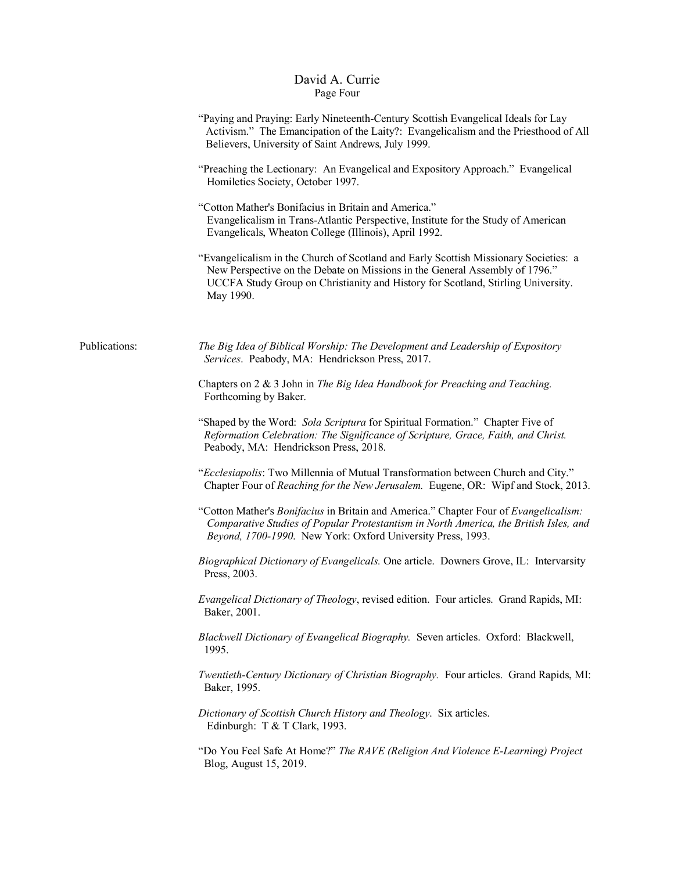## David A. Currie Page Four

|               | "Paying and Praying: Early Nineteenth-Century Scottish Evangelical Ideals for Lay<br>Activism." The Emancipation of the Laity?: Evangelicalism and the Priesthood of All<br>Believers, University of Saint Andrews, July 1999.                                       |
|---------------|----------------------------------------------------------------------------------------------------------------------------------------------------------------------------------------------------------------------------------------------------------------------|
|               | "Preaching the Lectionary: An Evangelical and Expository Approach." Evangelical<br>Homiletics Society, October 1997.                                                                                                                                                 |
|               | "Cotton Mather's Bonifacius in Britain and America."<br>Evangelicalism in Trans-Atlantic Perspective, Institute for the Study of American<br>Evangelicals, Wheaton College (Illinois), April 1992.                                                                   |
|               | "Evangelicalism in the Church of Scotland and Early Scottish Missionary Societies: a<br>New Perspective on the Debate on Missions in the General Assembly of 1796."<br>UCCFA Study Group on Christianity and History for Scotland, Stirling University.<br>May 1990. |
| Publications: | The Big Idea of Biblical Worship: The Development and Leadership of Expository<br>Services. Peabody, MA: Hendrickson Press, 2017.                                                                                                                                    |
|               | Chapters on 2 & 3 John in The Big Idea Handbook for Preaching and Teaching.<br>Forthcoming by Baker.                                                                                                                                                                 |
|               | "Shaped by the Word: Sola Scriptura for Spiritual Formation." Chapter Five of<br>Reformation Celebration: The Significance of Scripture, Grace, Faith, and Christ.<br>Peabody, MA: Hendrickson Press, 2018.                                                          |
|               | "Ecclesiapolis: Two Millennia of Mutual Transformation between Church and City."<br>Chapter Four of Reaching for the New Jerusalem. Eugene, OR: Wipf and Stock, 2013.                                                                                                |
|               | "Cotton Mather's Bonifacius in Britain and America." Chapter Four of Evangelicalism:<br>Comparative Studies of Popular Protestantism in North America, the British Isles, and<br>Beyond, 1700-1990. New York: Oxford University Press, 1993.                         |
|               | Biographical Dictionary of Evangelicals. One article. Downers Grove, IL: Intervarsity<br>Press, 2003.                                                                                                                                                                |
|               | Evangelical Dictionary of Theology, revised edition. Four articles. Grand Rapids, MI:<br>Baker, 2001.                                                                                                                                                                |
|               | Blackwell Dictionary of Evangelical Biography. Seven articles. Oxford: Blackwell,<br>1995.                                                                                                                                                                           |
|               | Twentieth-Century Dictionary of Christian Biography. Four articles. Grand Rapids, MI:<br>Baker, 1995.                                                                                                                                                                |
|               | Dictionary of Scottish Church History and Theology. Six articles.<br>Edinburgh: T & T Clark, 1993.                                                                                                                                                                   |
|               | "Do You Feel Safe At Home?" The RAVE (Religion And Violence E-Learning) Project<br>Blog, August 15, 2019.                                                                                                                                                            |